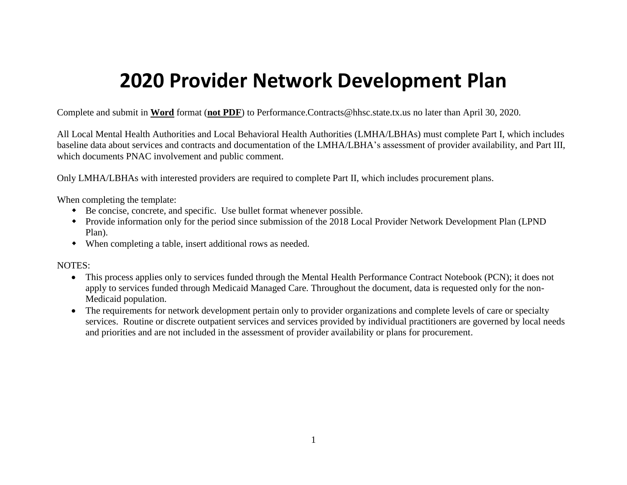# **2020 Provider Network Development Plan**

Complete and submit in **Word** format (**not PDF**) to Performance.Contracts@hhsc.state.tx.us no later than April 30, 2020.

All Local Mental Health Authorities and Local Behavioral Health Authorities (LMHA/LBHAs) must complete Part I, which includes baseline data about services and contracts and documentation of the LMHA/LBHA's assessment of provider availability, and Part III, which documents PNAC involvement and public comment.

Only LMHA/LBHAs with interested providers are required to complete Part II, which includes procurement plans.

When completing the template:

- Be concise, concrete, and specific. Use bullet format whenever possible.
- Provide information only for the period since submission of the 2018 Local Provider Network Development Plan (LPND Plan).
- When completing a table, insert additional rows as needed.

#### NOTES:

- This process applies only to services funded through the Mental Health Performance Contract Notebook (PCN); it does not apply to services funded through Medicaid Managed Care. Throughout the document, data is requested only for the non-Medicaid population.
- The requirements for network development pertain only to provider organizations and complete levels of care or specialty services. Routine or discrete outpatient services and services provided by individual practitioners are governed by local needs and priorities and are not included in the assessment of provider availability or plans for procurement.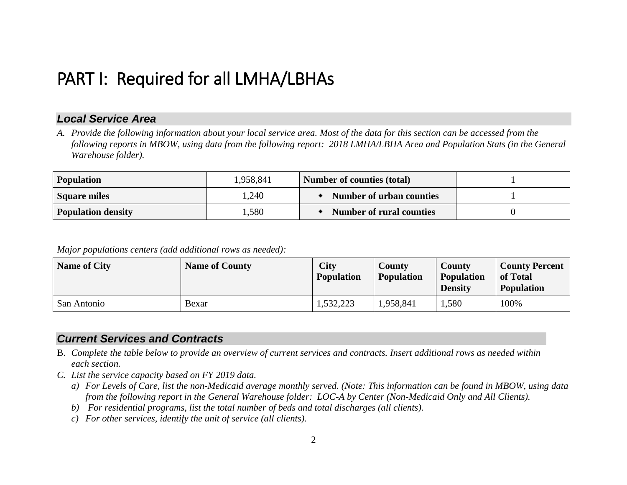## PART I: Required for all LMHA/LBHAs

## *Local Service Area*

*A. Provide the following information about your local service area. Most of the data for this section can be accessed from the following reports in MBOW, using data from the following report: 2018 LMHA/LBHA Area and Population Stats (in the General Warehouse folder).*

| <b>Population</b>         | 1,958,841 | <b>Number of counties (total)</b> |  |
|---------------------------|-----------|-----------------------------------|--|
| Square miles              | 1,240     | Number of urban counties          |  |
| <b>Population density</b> | .580      | <b>Number of rural counties</b>   |  |

*Major populations centers (add additional rows as needed):*

| <b>Name of City</b> | <b>Name of County</b> | <b>City</b><br><b>Population</b> | <b>County</b><br><b>Population</b> | <b>County</b><br><b>Population</b><br><b>Density</b> | <b>County Percent</b><br>of Total<br><b>Population</b> |
|---------------------|-----------------------|----------------------------------|------------------------------------|------------------------------------------------------|--------------------------------------------------------|
| San Antonio         | Bexar                 | 1,532,223                        | 1,958,841                          | .,580                                                | 100%                                                   |

## *Current Services and Contracts*

- B. *Complete the table below to provide an overview of current services and contracts. Insert additional rows as needed within each section.*
- *C. List the service capacity based on FY 2019 data.* 
	- *a) For Levels of Care, list the non-Medicaid average monthly served. (Note: This information can be found in MBOW, using data from the following report in the General Warehouse folder: LOC-A by Center (Non-Medicaid Only and All Clients).*
	- *b) For residential programs, list the total number of beds and total discharges (all clients).*
	- *c) For other services, identify the unit of service (all clients).*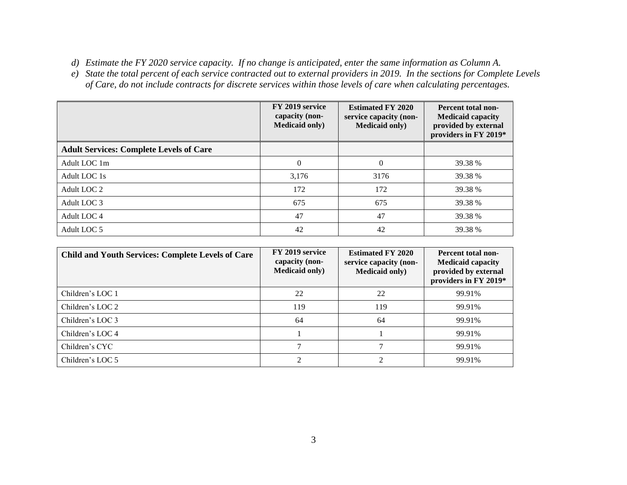- *d) Estimate the FY 2020 service capacity. If no change is anticipated, enter the same information as Column A.*
- *e) State the total percent of each service contracted out to external providers in 2019. In the sections for Complete Levels of Care, do not include contracts for discrete services within those levels of care when calculating percentages.*

|                                                | FY 2019 service<br>capacity (non-<br><b>Medicaid only)</b> | <b>Estimated FY 2020</b><br>service capacity (non-<br><b>Medicaid only)</b> | Percent total non-<br><b>Medicaid capacity</b><br>provided by external<br>providers in FY 2019* |
|------------------------------------------------|------------------------------------------------------------|-----------------------------------------------------------------------------|-------------------------------------------------------------------------------------------------|
| <b>Adult Services: Complete Levels of Care</b> |                                                            |                                                                             |                                                                                                 |
| Adult LOC 1m                                   | $\Omega$                                                   | $\Omega$                                                                    | 39.38 %                                                                                         |
| Adult LOC 1s                                   | 3,176                                                      | 3176                                                                        | 39.38 %                                                                                         |
| Adult LOC 2                                    | 172                                                        | 172                                                                         | 39.38 %                                                                                         |
| Adult LOC 3                                    | 675                                                        | 675                                                                         | 39.38 %                                                                                         |
| Adult LOC 4                                    | 47                                                         | 47                                                                          | 39.38 %                                                                                         |
| Adult LOC 5                                    | 42                                                         | 42                                                                          | 39.38 %                                                                                         |

| <b>Child and Youth Services: Complete Levels of Care</b> | FY 2019 service<br>capacity (non-<br><b>Medicaid only)</b> | <b>Estimated FY 2020</b><br>service capacity (non-<br><b>Medicaid only</b> ) | Percent total non-<br><b>Medicaid capacity</b><br>provided by external<br>providers in FY 2019* |
|----------------------------------------------------------|------------------------------------------------------------|------------------------------------------------------------------------------|-------------------------------------------------------------------------------------------------|
| Children's LOC 1                                         | 22                                                         | 22                                                                           | 99.91%                                                                                          |
| Children's LOC 2                                         | 119                                                        | 119                                                                          | 99.91%                                                                                          |
| Children's LOC 3                                         | 64                                                         | 64                                                                           | 99.91%                                                                                          |
| Children's LOC 4                                         |                                                            |                                                                              | 99.91%                                                                                          |
| Children's CYC                                           |                                                            |                                                                              | 99.91%                                                                                          |
| Children's LOC 5                                         |                                                            |                                                                              | 99.91%                                                                                          |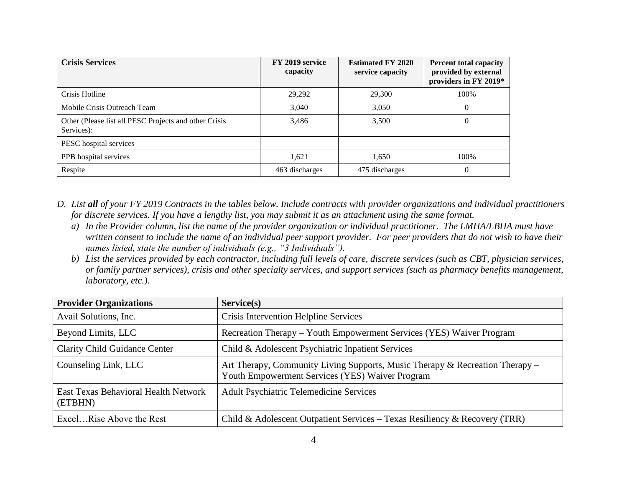| <b>Crisis Services</b>                                              | FY 2019 service<br>capacity | <b>Estimated FY 2020</b><br>service capacity | <b>Percent total capacity</b><br>provided by external<br>providers in FY 2019* |
|---------------------------------------------------------------------|-----------------------------|----------------------------------------------|--------------------------------------------------------------------------------|
| Crisis Hotline                                                      | 29,292                      | 29,300                                       | 100%                                                                           |
| Mobile Crisis Outreach Team                                         | 3,040                       | 3,050                                        | $\theta$                                                                       |
| Other (Please list all PESC Projects and other Crisis<br>Services): | 3,486                       | 3,500                                        | $\theta$                                                                       |
| PESC hospital services                                              |                             |                                              |                                                                                |
| PPB hospital services                                               | 1,621                       | 1,650                                        | 100%                                                                           |
| Respite                                                             | 463 discharges              | 475 discharges                               | $\Omega$                                                                       |

- *D. List all of your FY 2019 Contracts in the tables below. Include contracts with provider organizations and individual practitioners for discrete services. If you have a lengthy list, you may submit it as an attachment using the same format.*
	- *a) In the Provider column, list the name of the provider organization or individual practitioner. The LMHA/LBHA must have written consent to include the name of an individual peer support provider. For peer providers that do not wish to have their names listed, state the number of individuals (e.g., "3 Individuals").*
	- *b) List the services provided by each contractor, including full levels of care, discrete services (such as CBT, physician services, or family partner services), crisis and other specialty services, and support services (such as pharmacy benefits management, laboratory, etc.).*

| <b>Provider Organizations</b>                          | Service(s)                                                                                                                      |
|--------------------------------------------------------|---------------------------------------------------------------------------------------------------------------------------------|
| Avail Solutions, Inc.                                  | Crisis Intervention Helpline Services                                                                                           |
| Beyond Limits, LLC                                     | Recreation Therapy – Youth Empowerment Services (YES) Waiver Program                                                            |
| <b>Clarity Child Guidance Center</b>                   | Child & Adolescent Psychiatric Inpatient Services                                                                               |
| Counseling Link, LLC                                   | Art Therapy, Community Living Supports, Music Therapy & Recreation Therapy –<br>Youth Empowerment Services (YES) Waiver Program |
| <b>East Texas Behavioral Health Network</b><br>(ETBHN) | <b>Adult Psychiatric Telemedicine Services</b>                                                                                  |
| ExcelRise Above the Rest                               | Child & Adolescent Outpatient Services – Texas Resiliency & Recovery (TRR)                                                      |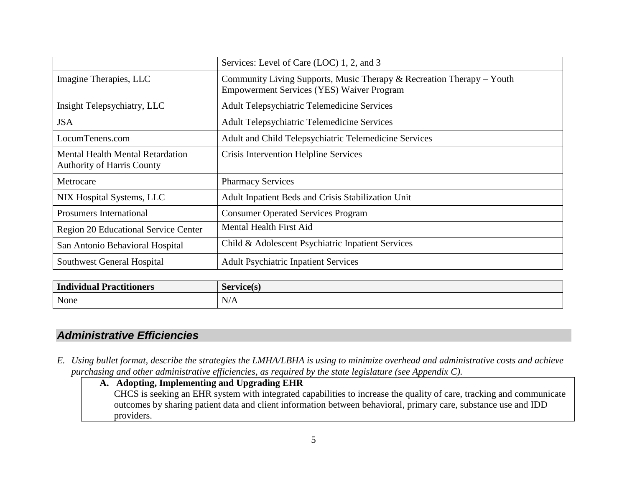|                                                                              | Services: Level of Care (LOC) 1, 2, and 3                                                                                   |
|------------------------------------------------------------------------------|-----------------------------------------------------------------------------------------------------------------------------|
| Imagine Therapies, LLC                                                       | Community Living Supports, Music Therapy $&$ Recreation Therapy – Youth<br><b>Empowerment Services (YES) Waiver Program</b> |
| Insight Telepsychiatry, LLC                                                  | <b>Adult Telepsychiatric Telemedicine Services</b>                                                                          |
| <b>JSA</b>                                                                   | <b>Adult Telepsychiatric Telemedicine Services</b>                                                                          |
| LocumTenens.com                                                              | Adult and Child Telepsychiatric Telemedicine Services                                                                       |
| <b>Mental Health Mental Retardation</b><br><b>Authority of Harris County</b> | Crisis Intervention Helpline Services                                                                                       |
| Metrocare                                                                    | <b>Pharmacy Services</b>                                                                                                    |
| NIX Hospital Systems, LLC                                                    | Adult Inpatient Beds and Crisis Stabilization Unit                                                                          |
| <b>Prosumers International</b>                                               | <b>Consumer Operated Services Program</b>                                                                                   |
| <b>Region 20 Educational Service Center</b>                                  | <b>Mental Health First Aid</b>                                                                                              |
| San Antonio Behavioral Hospital                                              | Child & Adolescent Psychiatric Inpatient Services                                                                           |
| Southwest General Hospital                                                   | <b>Adult Psychiatric Inpatient Services</b>                                                                                 |

| <b>Practitioners</b> | $\sqrt{2}$ |
|----------------------|------------|
| ıvıdual              | Commonic   |
| .                    | .          |
| None                 | N/A        |

## *Administrative Efficiencies*

- *E. Using bullet format, describe the strategies the LMHA/LBHA is using to minimize overhead and administrative costs and achieve purchasing and other administrative efficiencies, as required by the state legislature (see Appendix C).*
	- **A. Adopting, Implementing and Upgrading EHR** CHCS is seeking an EHR system with integrated capabilities to increase the quality of care, tracking and communicate outcomes by sharing patient data and client information between behavioral, primary care, substance use and IDD providers.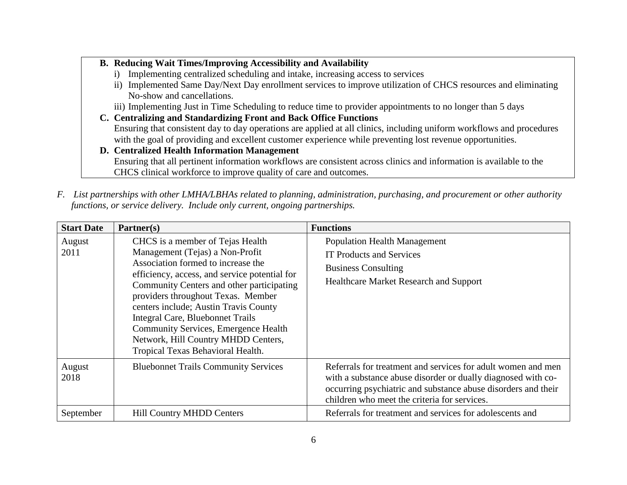#### **B. Reducing Wait Times/Improving Accessibility and Availability**

- i) Implementing centralized scheduling and intake, increasing access to services
- ii) Implemented Same Day/Next Day enrollment services to improve utilization of CHCS resources and eliminating No-show and cancellations.
- iii) Implementing Just in Time Scheduling to reduce time to provider appointments to no longer than 5 days
- **C. Centralizing and Standardizing Front and Back Office Functions** Ensuring that consistent day to day operations are applied at all clinics, including uniform workflows and procedures with the goal of providing and excellent customer experience while preventing lost revenue opportunities.
- **D. Centralized Health Information Management** Ensuring that all pertinent information workflows are consistent across clinics and information is available to the CHCS clinical workforce to improve quality of care and outcomes.
- *F. List partnerships with other LMHA/LBHAs related to planning, administration, purchasing, and procurement or other authority functions, or service delivery. Include only current, ongoing partnerships.*

| <b>Start Date</b> | Partner(s)                                                                                                                                                                                                                                                                                                                                                                                                                                            | <b>Functions</b>                                                                                                                                                                                                                              |
|-------------------|-------------------------------------------------------------------------------------------------------------------------------------------------------------------------------------------------------------------------------------------------------------------------------------------------------------------------------------------------------------------------------------------------------------------------------------------------------|-----------------------------------------------------------------------------------------------------------------------------------------------------------------------------------------------------------------------------------------------|
| August<br>2011    | CHCS is a member of Tejas Health<br>Management (Tejas) a Non-Profit<br>Association formed to increase the<br>efficiency, access, and service potential for<br>Community Centers and other participating<br>providers throughout Texas. Member<br>centers include; Austin Travis County<br>Integral Care, Bluebonnet Trails<br><b>Community Services, Emergence Health</b><br>Network, Hill Country MHDD Centers,<br>Tropical Texas Behavioral Health. | <b>Population Health Management</b><br><b>IT Products and Services</b><br><b>Business Consulting</b><br><b>Healthcare Market Research and Support</b>                                                                                         |
| August<br>2018    | <b>Bluebonnet Trails Community Services</b>                                                                                                                                                                                                                                                                                                                                                                                                           | Referrals for treatment and services for adult women and men<br>with a substance abuse disorder or dually diagnosed with co-<br>occurring psychiatric and substance abuse disorders and their<br>children who meet the criteria for services. |
| September         | <b>Hill Country MHDD Centers</b>                                                                                                                                                                                                                                                                                                                                                                                                                      | Referrals for treatment and services for adolescents and                                                                                                                                                                                      |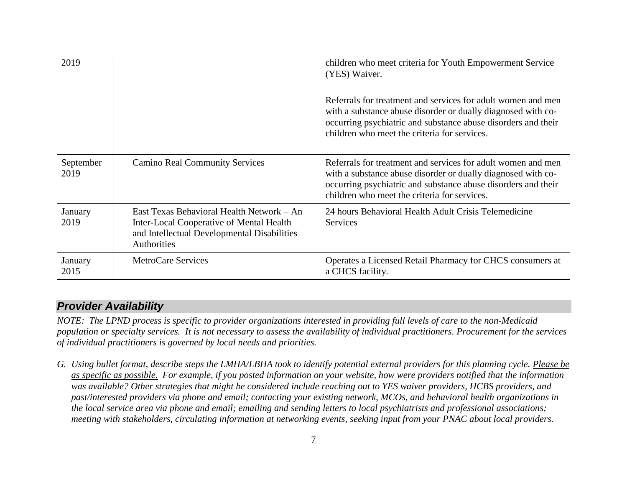| 2019              |                                                                                                                                                     | children who meet criteria for Youth Empowerment Service<br>(YES) Waiver.<br>Referrals for treatment and services for adult women and men<br>with a substance abuse disorder or dually diagnosed with co-<br>occurring psychiatric and substance abuse disorders and their<br>children who meet the criteria for services. |
|-------------------|-----------------------------------------------------------------------------------------------------------------------------------------------------|----------------------------------------------------------------------------------------------------------------------------------------------------------------------------------------------------------------------------------------------------------------------------------------------------------------------------|
| September<br>2019 | <b>Camino Real Community Services</b>                                                                                                               | Referrals for treatment and services for adult women and men<br>with a substance abuse disorder or dually diagnosed with co-<br>occurring psychiatric and substance abuse disorders and their<br>children who meet the criteria for services.                                                                              |
| January<br>2019   | East Texas Behavioral Health Network – An<br>Inter-Local Cooperative of Mental Health<br>and Intellectual Developmental Disabilities<br>Authorities | 24 hours Behavioral Health Adult Crisis Telemedicine<br><b>Services</b>                                                                                                                                                                                                                                                    |
| January<br>2015   | MetroCare Services                                                                                                                                  | Operates a Licensed Retail Pharmacy for CHCS consumers at<br>a CHCS facility.                                                                                                                                                                                                                                              |

## *Provider Availability*

*NOTE: The LPND process is specific to provider organizations interested in providing full levels of care to the non-Medicaid population or specialty services. It is not necessary to assess the availability of individual practitioners. Procurement for the services of individual practitioners is governed by local needs and priorities.*

*G. Using bullet format, describe steps the LMHA/LBHA took to identify potential external providers for this planning cycle. Please be as specific as possible. For example, if you posted information on your website, how were providers notified that the information was available? Other strategies that might be considered include reaching out to YES waiver providers, HCBS providers, and past/interested providers via phone and email; contacting your existing network, MCOs, and behavioral health organizations in the local service area via phone and email; emailing and sending letters to local psychiatrists and professional associations; meeting with stakeholders, circulating information at networking events, seeking input from your PNAC about local providers.*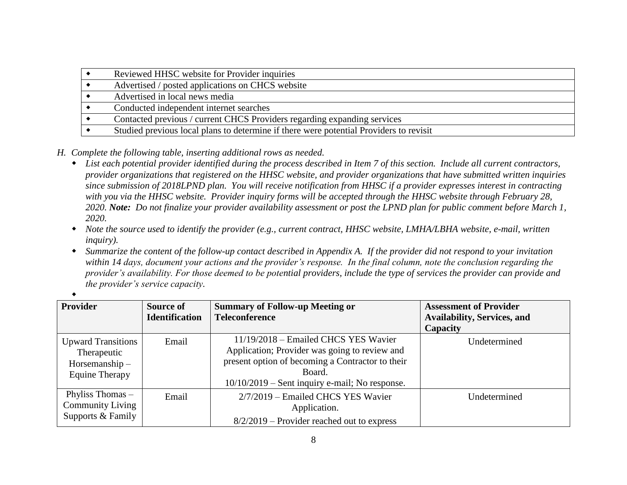| Reviewed HHSC website for Provider inquiries                                           |
|----------------------------------------------------------------------------------------|
| Advertised / posted applications on CHCS website                                       |
| Advertised in local news media                                                         |
| Conducted independent internet searches                                                |
| Contacted previous / current CHCS Providers regarding expanding services               |
| Studied previous local plans to determine if there were potential Providers to revisit |

- *H. Complete the following table, inserting additional rows as needed.*
	- *List each potential provider identified during the process described in Item 7 of this section. Include all current contractors, provider organizations that registered on the HHSC website, and provider organizations that have submitted written inquiries since submission of 2018LPND plan. You will receive notification from HHSC if a provider expresses interest in contracting*  with you via the HHSC website. Provider inquiry forms will be accepted through the HHSC website through February 28, *2020. Note: Do not finalize your provider availability assessment or post the LPND plan for public comment before March 1, 2020.*
	- *Note the source used to identify the provider (e.g., current contract, HHSC website, LMHA/LBHA website, e-mail, written inquiry).*
	- *Summarize the content of the follow-up contact described in Appendix A. If the provider did not respond to your invitation within 14 days, document your actions and the provider's response. In the final column, note the conclusion regarding the provider's availability. For those deemed to be potential providers, include the type of services the provider can provide and the provider's service capacity.*

| Provider                  | Source of             | <b>Summary of Follow-up Meeting or</b>           | <b>Assessment of Provider</b>      |
|---------------------------|-----------------------|--------------------------------------------------|------------------------------------|
|                           | <b>Identification</b> | <b>Teleconference</b>                            | <b>Availability, Services, and</b> |
|                           |                       |                                                  | Capacity                           |
| <b>Upward Transitions</b> | Email                 | $11/19/2018$ – Emailed CHCS YES Wavier           | Undetermined                       |
| Therapeutic               |                       | Application; Provider was going to review and    |                                    |
| $H$ orsemanship $-$       |                       | present option of becoming a Contractor to their |                                    |
| Equine Therapy            |                       | Board.                                           |                                    |
|                           |                       | $10/10/2019$ – Sent inquiry e-mail; No response. |                                    |
| Phyliss Thomas $-$        | Email                 | 2/7/2019 – Emailed CHCS YES Wavier               | Undetermined                       |
| <b>Community Living</b>   |                       | Application.                                     |                                    |
| Supports & Family         |                       | $8/2/2019$ – Provider reached out to express     |                                    |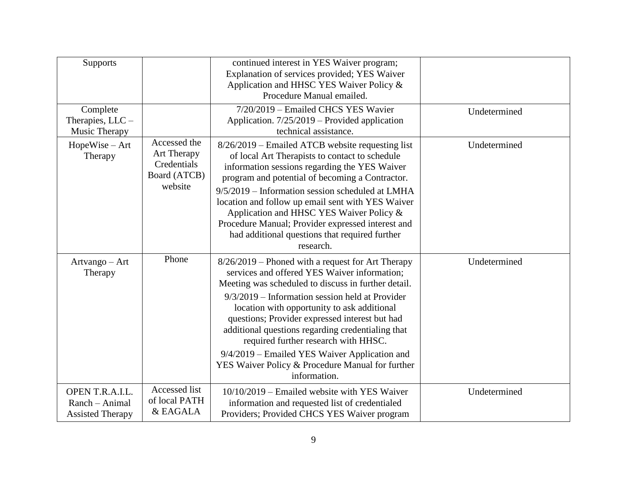| <b>Supports</b>                                              |                                                                       | continued interest in YES Waiver program;<br>Explanation of services provided; YES Waiver<br>Application and HHSC YES Waiver Policy &<br>Procedure Manual emailed.                                                                                                                                                                                                                                                                                                                                                               |              |
|--------------------------------------------------------------|-----------------------------------------------------------------------|----------------------------------------------------------------------------------------------------------------------------------------------------------------------------------------------------------------------------------------------------------------------------------------------------------------------------------------------------------------------------------------------------------------------------------------------------------------------------------------------------------------------------------|--------------|
| Complete<br>Therapies, $LLC -$<br>Music Therapy              |                                                                       | 7/20/2019 - Emailed CHCS YES Wavier<br>Application. 7/25/2019 – Provided application<br>technical assistance.                                                                                                                                                                                                                                                                                                                                                                                                                    | Undetermined |
| $HopeWise - Art$<br>Therapy                                  | Accessed the<br>Art Therapy<br>Credentials<br>Board (ATCB)<br>website | 8/26/2019 – Emailed ATCB website requesting list<br>of local Art Therapists to contact to schedule<br>information sessions regarding the YES Waiver<br>program and potential of becoming a Contractor.<br>$9/5/2019$ – Information session scheduled at LMHA<br>location and follow up email sent with YES Waiver<br>Application and HHSC YES Waiver Policy &<br>Procedure Manual; Provider expressed interest and<br>had additional questions that required further<br>research.                                                | Undetermined |
| Artvango - Art<br>Therapy                                    | Phone                                                                 | 8/26/2019 – Phoned with a request for Art Therapy<br>services and offered YES Waiver information;<br>Meeting was scheduled to discuss in further detail.<br>$9/3/2019$ – Information session held at Provider<br>location with opportunity to ask additional<br>questions; Provider expressed interest but had<br>additional questions regarding credentialing that<br>required further research with HHSC.<br>9/4/2019 – Emailed YES Waiver Application and<br>YES Waiver Policy & Procedure Manual for further<br>information. | Undetermined |
| OPEN T.R.A.I.L.<br>Ranch - Animal<br><b>Assisted Therapy</b> | Accessed list<br>of local PATH<br>& EAGALA                            | 10/10/2019 – Emailed website with YES Waiver<br>information and requested list of credentialed<br>Providers; Provided CHCS YES Waiver program                                                                                                                                                                                                                                                                                                                                                                                    | Undetermined |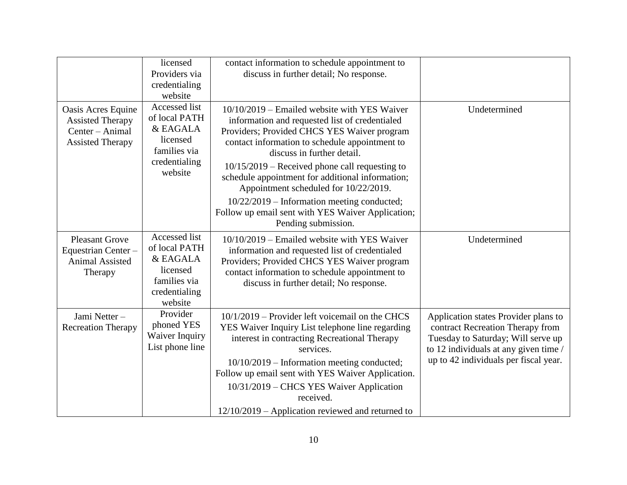|                                                                                             | licensed<br>Providers via<br>credentialing<br>website                                              | contact information to schedule appointment to<br>discuss in further detail; No response.                                                                                                                                                                                                                                                                                              |                                                                                                                                                                                                  |
|---------------------------------------------------------------------------------------------|----------------------------------------------------------------------------------------------------|----------------------------------------------------------------------------------------------------------------------------------------------------------------------------------------------------------------------------------------------------------------------------------------------------------------------------------------------------------------------------------------|--------------------------------------------------------------------------------------------------------------------------------------------------------------------------------------------------|
| Oasis Acres Equine<br><b>Assisted Therapy</b><br>Center - Animal<br><b>Assisted Therapy</b> | Accessed list<br>of local PATH<br>& EAGALA<br>licensed<br>families via<br>credentialing<br>website | 10/10/2019 – Emailed website with YES Waiver<br>information and requested list of credentialed<br>Providers; Provided CHCS YES Waiver program<br>contact information to schedule appointment to<br>discuss in further detail.<br>$10/15/2019$ – Received phone call requesting to<br>schedule appointment for additional information;<br>Appointment scheduled for 10/22/2019.         | Undetermined                                                                                                                                                                                     |
|                                                                                             |                                                                                                    | 10/22/2019 – Information meeting conducted;<br>Follow up email sent with YES Waiver Application;<br>Pending submission.                                                                                                                                                                                                                                                                |                                                                                                                                                                                                  |
| <b>Pleasant Grove</b><br>Equestrian Center-<br><b>Animal Assisted</b><br>Therapy            | Accessed list<br>of local PATH<br>& EAGALA<br>licensed<br>families via<br>credentialing<br>website | $10/10/2019$ – Emailed website with YES Waiver<br>information and requested list of credentialed<br>Providers; Provided CHCS YES Waiver program<br>contact information to schedule appointment to<br>discuss in further detail; No response.                                                                                                                                           | Undetermined                                                                                                                                                                                     |
| Jami Netter-<br><b>Recreation Therapy</b>                                                   | Provider<br>phoned YES<br>Waiver Inquiry<br>List phone line                                        | $10/1/2019$ – Provider left voicemail on the CHCS<br>YES Waiver Inquiry List telephone line regarding<br>interest in contracting Recreational Therapy<br>services.<br>10/10/2019 – Information meeting conducted;<br>Follow up email sent with YES Waiver Application.<br>10/31/2019 – CHCS YES Waiver Application<br>received.<br>$12/10/2019$ – Application reviewed and returned to | Application states Provider plans to<br>contract Recreation Therapy from<br>Tuesday to Saturday; Will serve up<br>to 12 individuals at any given time /<br>up to 42 individuals per fiscal year. |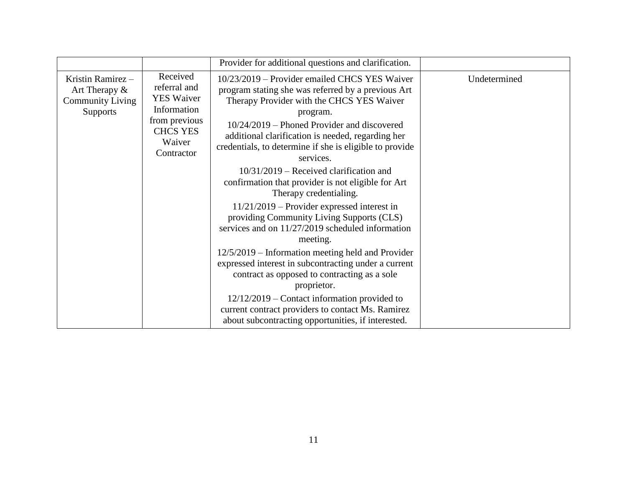|                                                                                     |                                                                                                                          | Provider for additional questions and clarification.                                                                                                                                                                                                                                                                                     |              |
|-------------------------------------------------------------------------------------|--------------------------------------------------------------------------------------------------------------------------|------------------------------------------------------------------------------------------------------------------------------------------------------------------------------------------------------------------------------------------------------------------------------------------------------------------------------------------|--------------|
| Kristin Ramirez -<br>Art Therapy $\&$<br><b>Community Living</b><br><b>Supports</b> | Received<br>referral and<br><b>YES Waiver</b><br>Information<br>from previous<br><b>CHCS YES</b><br>Waiver<br>Contractor | 10/23/2019 – Provider emailed CHCS YES Waiver<br>program stating she was referred by a previous Art<br>Therapy Provider with the CHCS YES Waiver<br>program.<br>10/24/2019 – Phoned Provider and discovered<br>additional clarification is needed, regarding her<br>credentials, to determine if she is eligible to provide<br>services. | Undetermined |
|                                                                                     |                                                                                                                          | $10/31/2019$ – Received clarification and<br>confirmation that provider is not eligible for Art<br>Therapy credentialing.                                                                                                                                                                                                                |              |
|                                                                                     |                                                                                                                          | $11/21/2019$ – Provider expressed interest in<br>providing Community Living Supports (CLS)<br>services and on 11/27/2019 scheduled information<br>meeting.                                                                                                                                                                               |              |
|                                                                                     |                                                                                                                          | $12/5/2019$ – Information meeting held and Provider<br>expressed interest in subcontracting under a current<br>contract as opposed to contracting as a sole<br>proprietor.                                                                                                                                                               |              |
|                                                                                     |                                                                                                                          | $12/12/2019$ – Contact information provided to<br>current contract providers to contact Ms. Ramirez<br>about subcontracting opportunities, if interested.                                                                                                                                                                                |              |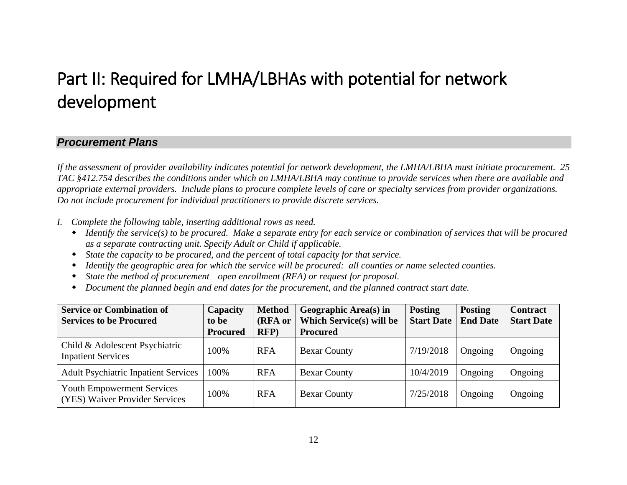## Part II: Required for LMHA/LBHAs with potential for network development

#### *Procurement Plans*

*If the assessment of provider availability indicates potential for network development, the LMHA/LBHA must initiate procurement. 25 TAC §412.754 describes the conditions under which an LMHA/LBHA may continue to provide services when there are available and appropriate external providers. Include plans to procure complete levels of care or specialty services from provider organizations. Do not include procurement for individual practitioners to provide discrete services.* 

- *I. Complete the following table, inserting additional rows as need.*
	- *Identify the service(s) to be procured. Make a separate entry for each service or combination of services that will be procured as a separate contracting unit. Specify Adult or Child if applicable.*
	- *State the capacity to be procured, and the percent of total capacity for that service.*
	- *Identify the geographic area for which the service will be procured: all counties or name selected counties.*
	- *State the method of procurement—open enrollment (RFA) or request for proposal.*
	- *Document the planned begin and end dates for the procurement, and the planned contract start date.*

| <b>Service or Combination of</b>                                    | Capacity        | <b>Method</b> | Geographic Area(s) in           | <b>Posting</b>    | <b>Posting</b>  | <b>Contract</b>   |
|---------------------------------------------------------------------|-----------------|---------------|---------------------------------|-------------------|-----------------|-------------------|
| <b>Services to be Procured</b>                                      | to be           | (RFA or       | <b>Which Service(s) will be</b> | <b>Start Date</b> | <b>End Date</b> | <b>Start Date</b> |
|                                                                     | <b>Procured</b> | RFP           | <b>Procured</b>                 |                   |                 |                   |
| Child & Adolescent Psychiatric<br><b>Inpatient Services</b>         | 100%            | <b>RFA</b>    | <b>Bexar County</b>             | 7/19/2018         | Ongoing         | Ongoing           |
| <b>Adult Psychiatric Inpatient Services</b>                         | 100%            | <b>RFA</b>    | <b>Bexar County</b>             | 10/4/2019         | Ongoing         | Ongoing           |
| <b>Youth Empowerment Services</b><br>(YES) Waiver Provider Services | 100%            | <b>RFA</b>    | <b>Bexar County</b>             | 7/25/2018         | Ongoing         | Ongoing           |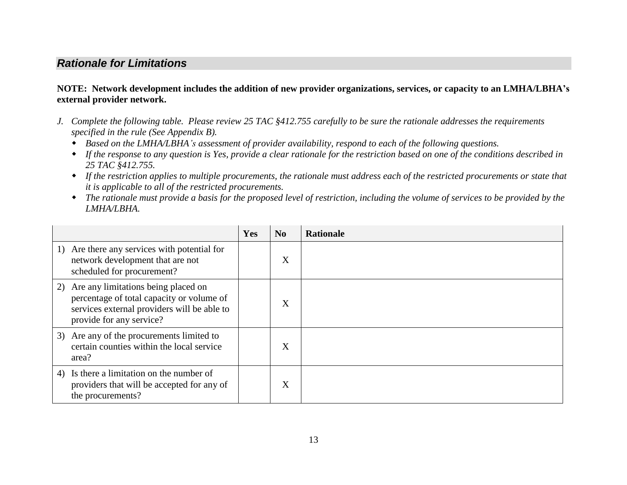## *Rationale for Limitations*

#### **NOTE: Network development includes the addition of new provider organizations, services, or capacity to an LMHA/LBHA's external provider network.**

- *J. Complete the following table. Please review 25 TAC §412.755 carefully to be sure the rationale addresses the requirements specified in the rule (See Appendix B).*
	- *Based on the LMHA/LBHA's assessment of provider availability, respond to each of the following questions.*
	- *If the response to any question is Yes, provide a clear rationale for the restriction based on one of the conditions described in 25 TAC §412.755.*
	- *If the restriction applies to multiple procurements, the rationale must address each of the restricted procurements or state that it is applicable to all of the restricted procurements.*
	- *The rationale must provide a basis for the proposed level of restriction, including the volume of services to be provided by the LMHA/LBHA.*

|                                                                                                                                                                | Yes | N <sub>0</sub> | <b>Rationale</b> |
|----------------------------------------------------------------------------------------------------------------------------------------------------------------|-----|----------------|------------------|
| 1) Are there any services with potential for<br>network development that are not<br>scheduled for procurement?                                                 |     | X              |                  |
| 2) Are any limitations being placed on<br>percentage of total capacity or volume of<br>services external providers will be able to<br>provide for any service? |     | X              |                  |
| 3) Are any of the procurements limited to<br>certain counties within the local service<br>area?                                                                |     | X              |                  |
| 4) Is there a limitation on the number of<br>providers that will be accepted for any of<br>the procurements?                                                   |     | X              |                  |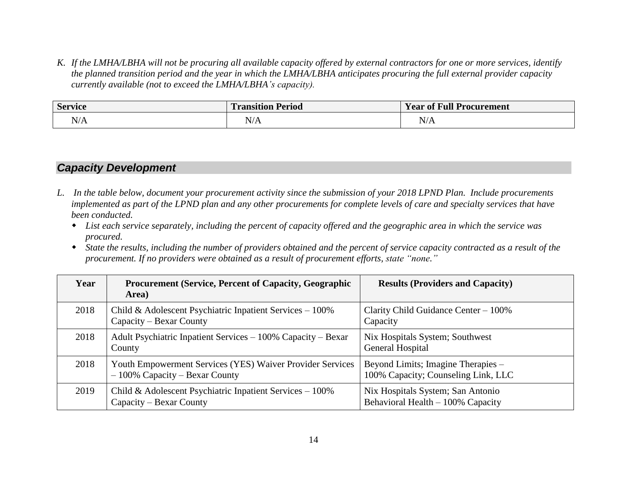*K. If the LMHA/LBHA will not be procuring all available capacity offered by external contractors for one or more services, identify the planned transition period and the year in which the LMHA/LBHA anticipates procuring the full external provider capacity currently available (not to exceed the LMHA/LBHA's capacity).*

| <b>Service</b>                             | <b>Transition P</b><br><b>Period</b> | Year of Full P<br>` Procurement            |
|--------------------------------------------|--------------------------------------|--------------------------------------------|
| $\Delta I/\Lambda$<br>N/A<br>$\sim$ $\sim$ | N/A                                  | N/A<br>the contract of the contract of the |

## *Capacity Development*

- *L. In the table below, document your procurement activity since the submission of your 2018 LPND Plan. Include procurements implemented as part of the LPND plan and any other procurements for complete levels of care and specialty services that have been conducted.*
	- *List each service separately, including the percent of capacity offered and the geographic area in which the service was procured.*
	- *State the results, including the number of providers obtained and the percent of service capacity contracted as a result of the procurement. If no providers were obtained as a result of procurement efforts, state "none."*

| Year | <b>Procurement (Service, Percent of Capacity, Geographic</b><br>Area)                         | <b>Results (Providers and Capacity)</b>                                   |
|------|-----------------------------------------------------------------------------------------------|---------------------------------------------------------------------------|
| 2018 | Child & Adolescent Psychiatric Inpatient Services $-100\%$<br>Capacity – Bexar County         | Clarity Child Guidance Center $-100\%$<br>Capacity                        |
| 2018 | Adult Psychiatric Inpatient Services – 100% Capacity – Bexar<br>County                        | Nix Hospitals System; Southwest<br>General Hospital                       |
| 2018 | Youth Empowerment Services (YES) Waiver Provider Services<br>$-100\%$ Capacity – Bexar County | Beyond Limits; Imagine Therapies -<br>100% Capacity; Counseling Link, LLC |
| 2019 | Child & Adolescent Psychiatric Inpatient Services $-100\%$<br>Capacity – Bexar County         | Nix Hospitals System; San Antonio<br>Behavioral Health $-100\%$ Capacity  |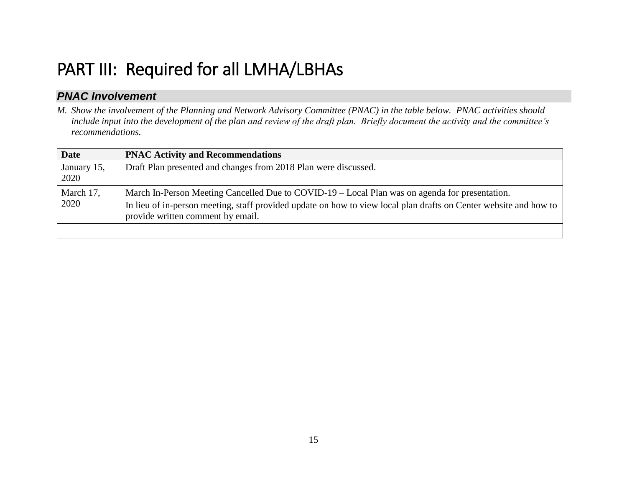## PART III: Required for all LMHA/LBHAs

## *PNAC Involvement*

*M. Show the involvement of the Planning and Network Advisory Committee (PNAC) in the table below. PNAC activities should include input into the development of the plan and review of the draft plan. Briefly document the activity and the committee's recommendations.*

| <b>Date</b>         | <b>PNAC Activity and Recommendations</b>                                                                                                                                                                                                                 |
|---------------------|----------------------------------------------------------------------------------------------------------------------------------------------------------------------------------------------------------------------------------------------------------|
| January 15,<br>2020 | Draft Plan presented and changes from 2018 Plan were discussed.                                                                                                                                                                                          |
| March 17,<br>2020   | March In-Person Meeting Cancelled Due to COVID-19 – Local Plan was on agenda for presentation.<br>In lieu of in-person meeting, staff provided update on how to view local plan drafts on Center website and how to<br>provide written comment by email. |
|                     |                                                                                                                                                                                                                                                          |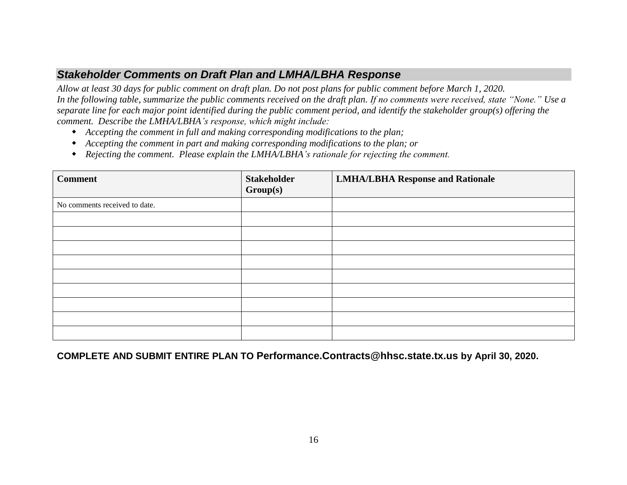## *Stakeholder Comments on Draft Plan and LMHA/LBHA Response*

*Allow at least 30 days for public comment on draft plan. Do not post plans for public comment before March 1, 2020. In the following table, summarize the public comments received on the draft plan. If no comments were received, state "None." Use a separate line for each major point identified during the public comment period, and identify the stakeholder group(s) offering the comment. Describe the LMHA/LBHA's response, which might include:*

- *Accepting the comment in full and making corresponding modifications to the plan;*
- *Accepting the comment in part and making corresponding modifications to the plan; or*
- *Rejecting the comment. Please explain the LMHA/LBHA's rationale for rejecting the comment.*

| <b>Comment</b>                | <b>Stakeholder</b><br>Group(s) | <b>LMHA/LBHA Response and Rationale</b> |
|-------------------------------|--------------------------------|-----------------------------------------|
| No comments received to date. |                                |                                         |
|                               |                                |                                         |
|                               |                                |                                         |
|                               |                                |                                         |
|                               |                                |                                         |
|                               |                                |                                         |
|                               |                                |                                         |
|                               |                                |                                         |
|                               |                                |                                         |
|                               |                                |                                         |

**COMPLETE AND SUBMIT ENTIRE PLAN TO Performance.Contracts@hhsc.state.tx.us by April 30, 2020.**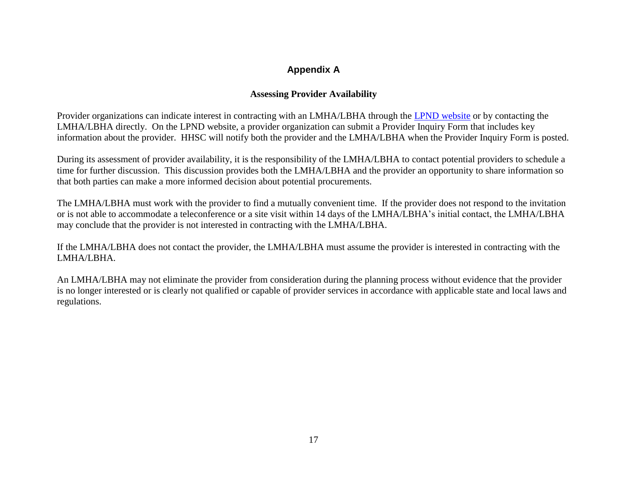## **Appendix A**

#### **Assessing Provider Availability**

Provider organizations can indicate interest in contracting with an LMHA/LBHA through the LPND [website](http://dshs.texas.gov/mhcommunity/LPND/) or by contacting the LMHA/LBHA directly. On the LPND website, a provider organization can submit a Provider Inquiry Form that includes key information about the provider. HHSC will notify both the provider and the LMHA/LBHA when the Provider Inquiry Form is posted.

During its assessment of provider availability, it is the responsibility of the LMHA/LBHA to contact potential providers to schedule a time for further discussion. This discussion provides both the LMHA/LBHA and the provider an opportunity to share information so that both parties can make a more informed decision about potential procurements.

The LMHA/LBHA must work with the provider to find a mutually convenient time. If the provider does not respond to the invitation or is not able to accommodate a teleconference or a site visit within 14 days of the LMHA/LBHA's initial contact, the LMHA/LBHA may conclude that the provider is not interested in contracting with the LMHA/LBHA.

If the LMHA/LBHA does not contact the provider, the LMHA/LBHA must assume the provider is interested in contracting with the LMHA/LBHA.

An LMHA/LBHA may not eliminate the provider from consideration during the planning process without evidence that the provider is no longer interested or is clearly not qualified or capable of provider services in accordance with applicable state and local laws and regulations.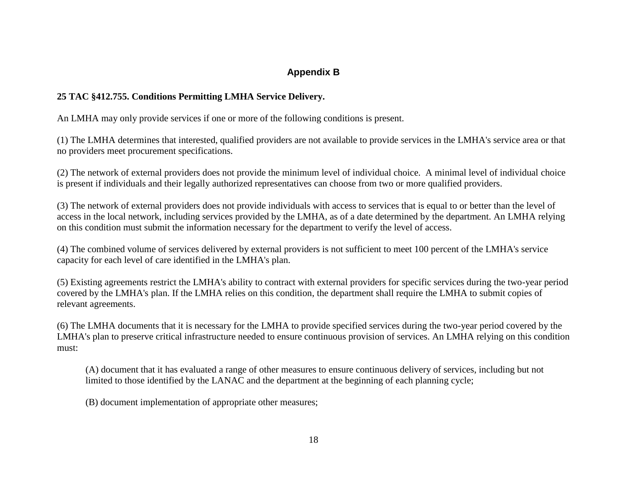## **Appendix B**

#### **25 TAC §412.755. Conditions Permitting LMHA Service Delivery.**

An LMHA may only provide services if one or more of the following conditions is present.

(1) The LMHA determines that interested, qualified providers are not available to provide services in the LMHA's service area or that no providers meet procurement specifications.

(2) The network of external providers does not provide the minimum level of individual choice. A minimal level of individual choice is present if individuals and their legally authorized representatives can choose from two or more qualified providers.

(3) The network of external providers does not provide individuals with access to services that is equal to or better than the level of access in the local network, including services provided by the LMHA, as of a date determined by the department. An LMHA relying on this condition must submit the information necessary for the department to verify the level of access.

(4) The combined volume of services delivered by external providers is not sufficient to meet 100 percent of the LMHA's service capacity for each level of care identified in the LMHA's plan.

(5) Existing agreements restrict the LMHA's ability to contract with external providers for specific services during the two-year period covered by the LMHA's plan. If the LMHA relies on this condition, the department shall require the LMHA to submit copies of relevant agreements.

(6) The LMHA documents that it is necessary for the LMHA to provide specified services during the two-year period covered by the LMHA's plan to preserve critical infrastructure needed to ensure continuous provision of services. An LMHA relying on this condition must:

(A) document that it has evaluated a range of other measures to ensure continuous delivery of services, including but not limited to those identified by the LANAC and the department at the beginning of each planning cycle;

(B) document implementation of appropriate other measures;